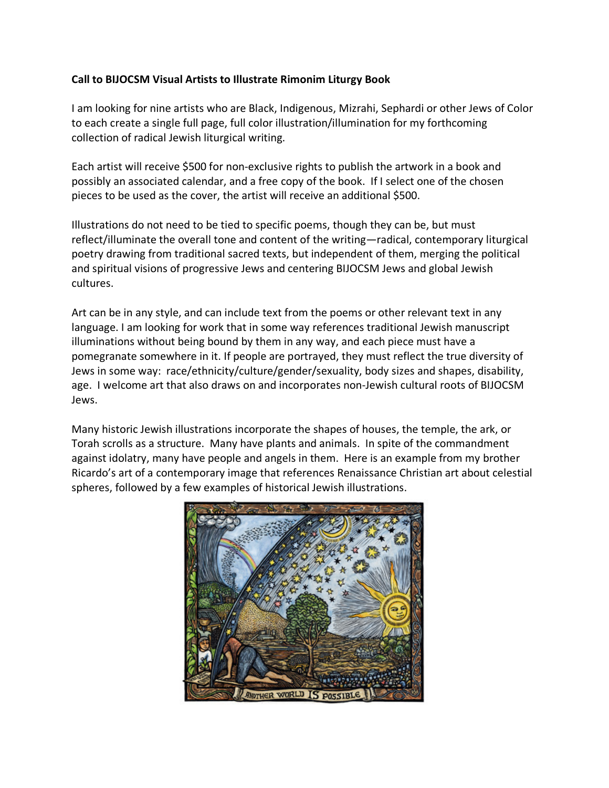## **Call to BIJOCSM Visual Artists to Illustrate Rimonim Liturgy Book**

I am looking for nine artists who are Black, Indigenous, Mizrahi, Sephardi or other Jews of Color to each create a single full page, full color illustration/illumination for my forthcoming collection of radical Jewish liturgical writing.

Each artist will receive \$500 for non-exclusive rights to publish the artwork in a book and possibly an associated calendar, and a free copy of the book. If I select one of the chosen pieces to be used as the cover, the artist will receive an additional \$500.

Illustrations do not need to be tied to specific poems, though they can be, but must reflect/illuminate the overall tone and content of the writing—radical, contemporary liturgical poetry drawing from traditional sacred texts, but independent of them, merging the political and spiritual visions of progressive Jews and centering BIJOCSM Jews and global Jewish cultures.

Art can be in any style, and can include text from the poems or other relevant text in any language. I am looking for work that in some way references traditional Jewish manuscript illuminations without being bound by them in any way, and each piece must have a pomegranate somewhere in it. If people are portrayed, they must reflect the true diversity of Jews in some way: race/ethnicity/culture/gender/sexuality, body sizes and shapes, disability, age. I welcome art that also draws on and incorporates non-Jewish cultural roots of BIJOCSM Jews.

Many historic Jewish illustrations incorporate the shapes of houses, the temple, the ark, or Torah scrolls as a structure. Many have plants and animals. In spite of the commandment against idolatry, many have people and angels in them. Here is an example from my brother Ricardo's art of a contemporary image that references Renaissance Christian art about celestial spheres, followed by a few examples of historical Jewish illustrations.

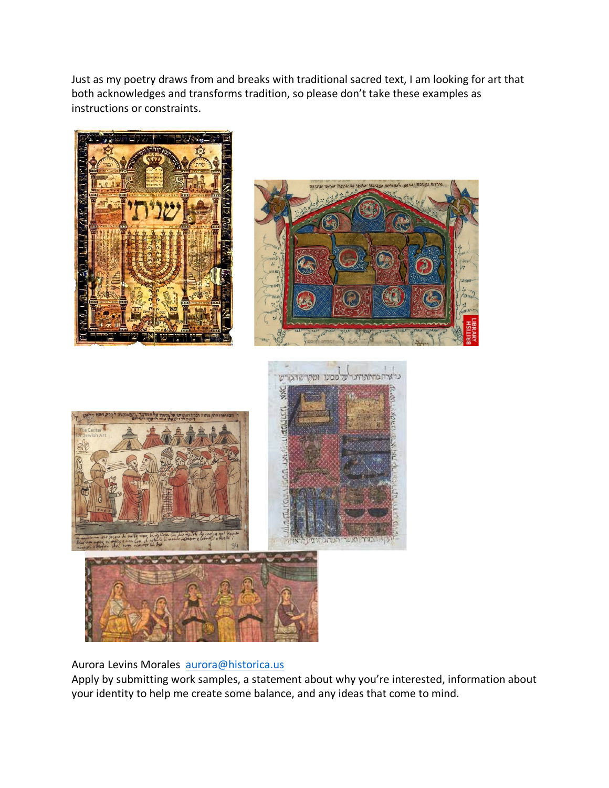Just as my poetry draws from and breaks with traditional sacred text, I am looking for art that both acknowledges and transforms tradition, so please don't take these examples as instructions or constraints.







## Aurora Levins Morales aurora@historica.us

Apply by submitting work samples, a statement about why you're interested, information about your identity to help me create some balance, and any ideas that come to mind.